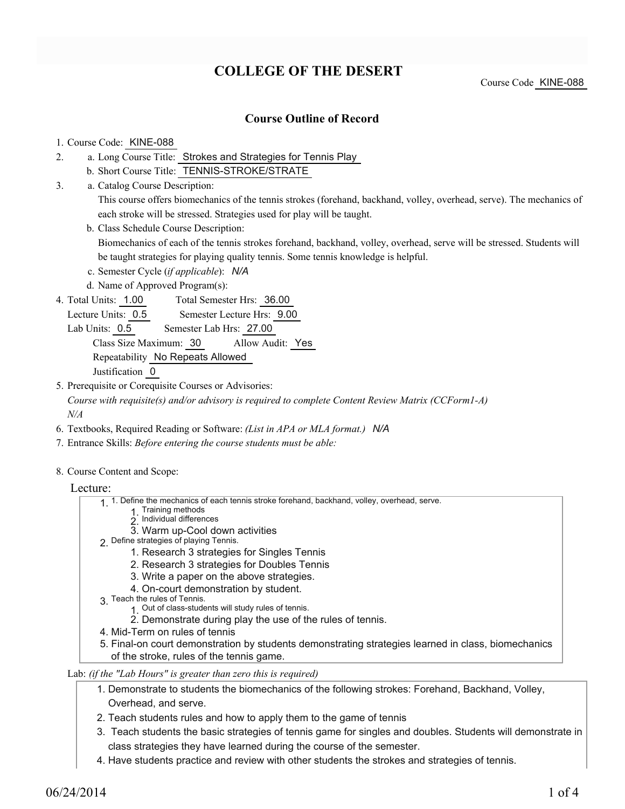# **COLLEGE OF THE DESERT**

### **Course Outline of Record**

#### 1. Course Code: KINE-088

- a. Long Course Title: Strokes and Strategies for Tennis Play 2.
	- b. Short Course Title: TENNIS-STROKE/STRATE
- Catalog Course Description: a. 3.

This course offers biomechanics of the tennis strokes (forehand, backhand, volley, overhead, serve). The mechanics of each stroke will be stressed. Strategies used for play will be taught.

b. Class Schedule Course Description:

Biomechanics of each of the tennis strokes forehand, backhand, volley, overhead, serve will be stressed. Students will be taught strategies for playing quality tennis. Some tennis knowledge is helpful.

- c. Semester Cycle (*if applicable*): *N/A*
- d. Name of Approved Program(s):
- Total Semester Hrs: 36.00 4. Total Units: 1.00

Lecture Units: 0.5 Semester Lecture Hrs: 9.00

Lab Units: 0.5 Semester Lab Hrs: 27.00

Class Size Maximum: 30 Allow Audit: Yes

Repeatability No Repeats Allowed

Justification 0

5. Prerequisite or Corequisite Courses or Advisories:

*Course with requisite(s) and/or advisory is required to complete Content Review Matrix (CCForm1-A) N/A*

- 6. Textbooks, Required Reading or Software: *(List in APA or MLA format.) N/A*
- 7. Entrance Skills: *Before entering the course students must be able:*
- 8. Course Content and Scope:

#### Lecture:

- 1. Define the mechanics of each tennis stroke forehand, backhand, volley, overhead, serve.
	- 1. Training methods
	- $2$ . Individual differences
	- 3. Warm up-Cool down activities
- p Define strategies of playing Tennis.
	- 1. Research 3 strategies for Singles Tennis
	- 2. Research 3 strategies for Doubles Tennis
	- 3. Write a paper on the above strategies.
	- 4. On-court demonstration by student.
- 3 Teach the rules of Tennis.
	- 1 Out of class-students will study rules of tennis.
	- 2. Demonstrate during play the use of the rules of tennis.
- 4. Mid-Term on rules of tennis
- Final-on court demonstration by students demonstrating strategies learned in class, biomechanics 5. of the stroke, rules of the tennis game.

Lab: *(if the "Lab Hours" is greater than zero this is required)*

- 1. Demonstrate to students the biomechanics of the following strokes: Forehand, Backhand, Volley, Overhead, and serve.
- 2. Teach students rules and how to apply them to the game of tennis
- 3. Teach students the basic strategies of tennis game for singles and doubles. Students will demonstrate in class strategies they have learned during the course of the semester.
- 4. Have students practice and review with other students the strokes and strategies of tennis.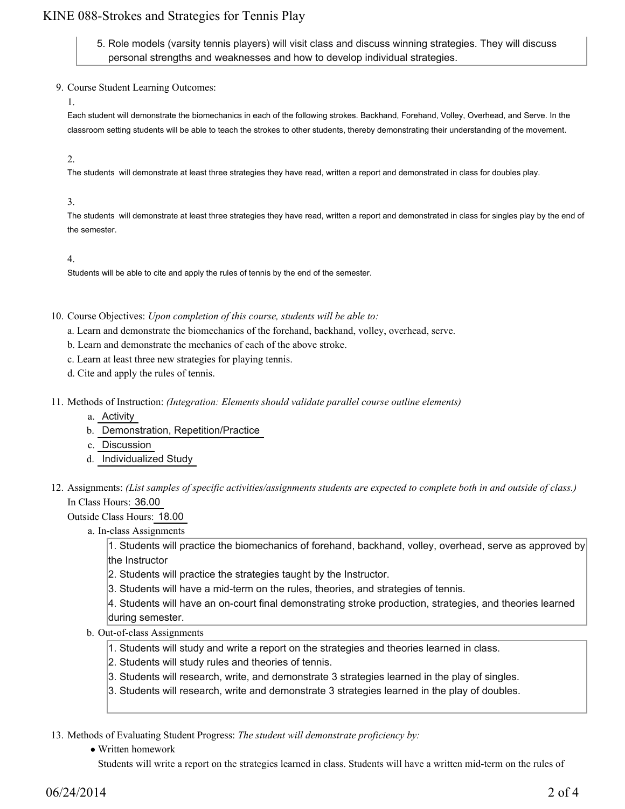## KINE 088-Strokes and Strategies for Tennis Play

5. Role models (varsity tennis players) will visit class and discuss winning strategies. They will discuss personal strengths and weaknesses and how to develop individual strategies.

- 9. Course Student Learning Outcomes:
	- 1.

Each student will demonstrate the biomechanics in each of the following strokes. Backhand, Forehand, Volley, Overhead, and Serve. In the classroom setting students will be able to teach the strokes to other students, thereby demonstrating their understanding of the movement.

#### 2.

The students will demonstrate at least three strategies they have read, written a report and demonstrated in class for doubles play.

#### 3.

The students will demonstrate at least three strategies they have read, written a report and demonstrated in class for singles play by the end of the semester.

#### 4.

Students will be able to cite and apply the rules of tennis by the end of the semester.

10. Course Objectives: Upon completion of this course, students will be able to:

a. Learn and demonstrate the biomechanics of the forehand, backhand, volley, overhead, serve.

- b. Learn and demonstrate the mechanics of each of the above stroke.
- c. Learn at least three new strategies for playing tennis.
- d. Cite and apply the rules of tennis.
- 11. Methods of Instruction: *(Integration: Elements should validate parallel course outline elements)* 
	- a. Activity
	- b. Demonstration, Repetition/Practice
	- c. Discussion
	- d. Individualized Study
- 12. Assignments: (List samples of specific activities/assignments students are expected to complete both in and outside of class.) In Class Hours: 36.00

Outside Class Hours: 18.00

a. In-class Assignments

1. Students will practice the biomechanics of forehand, backhand, volley, overhead, serve as approved by the Instructor

- 2. Students will practice the strategies taught by the Instructor.
- 3. Students will have a mid-term on the rules, theories, and strategies of tennis.
- 4. Students will have an on-court final demonstrating stroke production, strategies, and theories learned during semester.
- b. Out-of-class Assignments
	- 1. Students will study and write a report on the strategies and theories learned in class.
	- 2. Students will study rules and theories of tennis.
	- 3. Students will research, write, and demonstrate 3 strategies learned in the play of singles.
	- 3. Students will research, write and demonstrate 3 strategies learned in the play of doubles.

13. Methods of Evaluating Student Progress: The student will demonstrate proficiency by:

• Written homework

Students will write a report on the strategies learned in class. Students will have a written mid-term on the rules of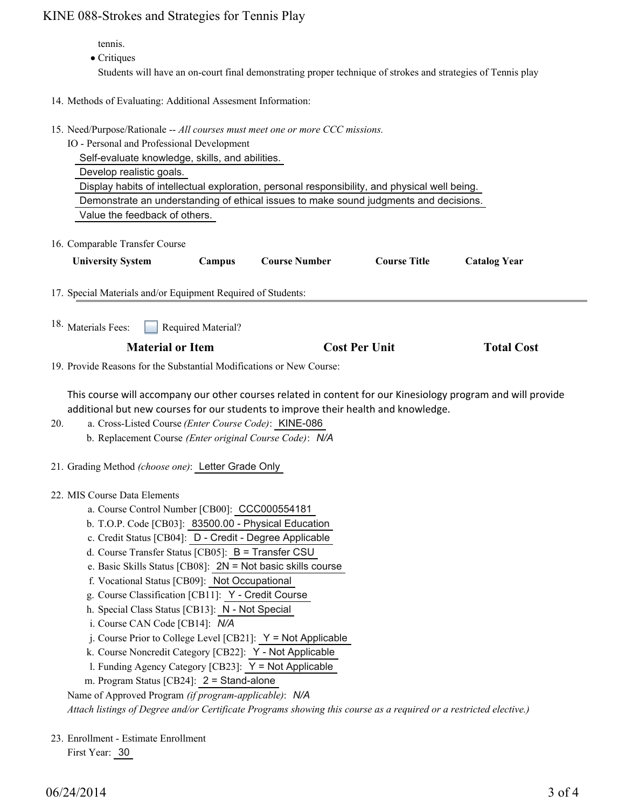### KINE 088-Strokes and Strategies for Tennis Play

tennis.

• Critiques

Students will have an on-court final demonstrating proper technique of strokes and strategies of Tennis play

- 14. Methods of Evaluating: Additional Assesment Information:
- 15. Need/Purpose/Rationale -- All courses must meet one or more CCC missions.

IO - Personal and Professional Development

Self-evaluate knowledge, skills, and abilities.

Develop realistic goals.

Display habits of intellectual exploration, personal responsibility, and physical well being.

Demonstrate an understanding of ethical issues to make sound judgments and decisions.

Value the feedback of others.

16. Comparable Transfer Course

| <b>University System</b>                                             | Campus             | <b>Course Number</b> | <b>Course Title</b>  | <b>Catalog Year</b> |  |
|----------------------------------------------------------------------|--------------------|----------------------|----------------------|---------------------|--|
| 17. Special Materials and/or Equipment Required of Students:         |                    |                      |                      |                     |  |
| <sup>18.</sup> Materials Fees:                                       | Required Material? |                      |                      |                     |  |
| <b>Material or Item</b>                                              |                    |                      | <b>Cost Per Unit</b> |                     |  |
| 19. Provide Reasons for the Substantial Modifications or New Course: |                    |                      |                      |                     |  |
|                                                                      |                    |                      |                      |                     |  |

This course will accompany our other courses related in content for our Kinesiology program and will provide additional but new courses for our students to improve their health and knowledge.

- a. Cross-Listed Course *(Enter Course Code)*: KINE-086 b. Replacement Course *(Enter original Course Code)*: *N/A* 20.
- 21. Grading Method *(choose one)*: Letter Grade Only

MIS Course Data Elements 22.

- a. Course Control Number [CB00]: CCC000554181
- b. T.O.P. Code [CB03]: 83500.00 Physical Education
- c. Credit Status [CB04]: D Credit Degree Applicable
- d. Course Transfer Status [CB05]: B = Transfer CSU
- e. Basic Skills Status [CB08]: 2N = Not basic skills course
- f. Vocational Status [CB09]: Not Occupational
- g. Course Classification [CB11]: Y Credit Course
- h. Special Class Status [CB13]: N Not Special
- i. Course CAN Code [CB14]: *N/A*
- $i$ . Course Prior to College Level [CB21]:  $Y = Not$  Applicable
- k. Course Noncredit Category [CB22]: Y Not Applicable
- l. Funding Agency Category [CB23]: Y = Not Applicable
- m. Program Status [CB24]: 2 = Stand-alone

Name of Approved Program *(if program-applicable)*: *N/A*

*Attach listings of Degree and/or Certificate Programs showing this course as a required or a restricted elective.)*

23. Enrollment - Estimate Enrollment

First Year: 30